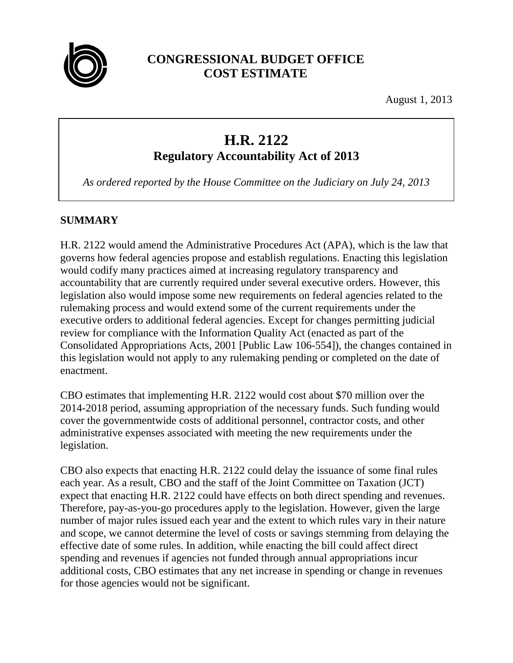

# **CONGRESSIONAL BUDGET OFFICE COST ESTIMATE**

August 1, 2013

# **H.R. 2122**

**Regulatory Accountability Act of 2013**

*As ordered reported by the House Committee on the Judiciary on July 24, 2013*

# **SUMMARY**

H.R. 2122 would amend the Administrative Procedures Act (APA), which is the law that governs how federal agencies propose and establish regulations. Enacting this legislation would codify many practices aimed at increasing regulatory transparency and accountability that are currently required under several executive orders. However, this legislation also would impose some new requirements on federal agencies related to the rulemaking process and would extend some of the current requirements under the executive orders to additional federal agencies. Except for changes permitting judicial review for compliance with the Information Quality Act (enacted as part of the Consolidated Appropriations Acts, 2001 [Public Law 106-554]), the changes contained in this legislation would not apply to any rulemaking pending or completed on the date of enactment.

CBO estimates that implementing H.R. 2122 would cost about \$70 million over the 2014-2018 period, assuming appropriation of the necessary funds. Such funding would cover the governmentwide costs of additional personnel, contractor costs, and other administrative expenses associated with meeting the new requirements under the legislation.

CBO also expects that enacting H.R. 2122 could delay the issuance of some final rules each year. As a result, CBO and the staff of the Joint Committee on Taxation (JCT) expect that enacting H.R. 2122 could have effects on both direct spending and revenues. Therefore, pay-as-you-go procedures apply to the legislation. However, given the large number of major rules issued each year and the extent to which rules vary in their nature and scope, we cannot determine the level of costs or savings stemming from delaying the effective date of some rules. In addition, while enacting the bill could affect direct spending and revenues if agencies not funded through annual appropriations incur additional costs, CBO estimates that any net increase in spending or change in revenues for those agencies would not be significant.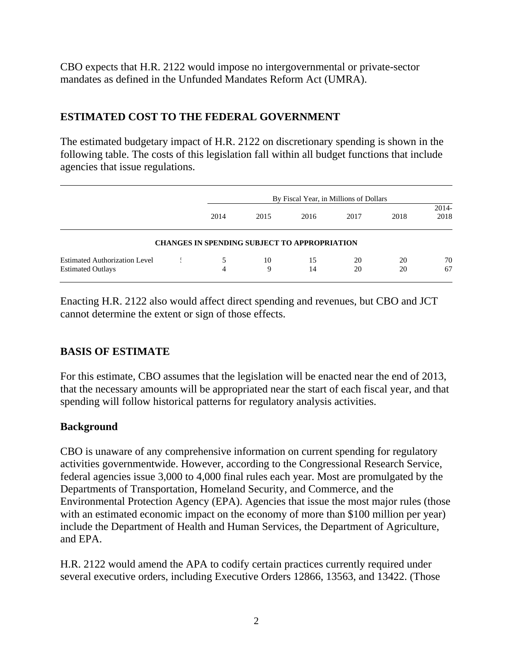CBO expects that H.R. 2122 would impose no intergovernmental or private-sector mandates as defined in the Unfunded Mandates Reform Act (UMRA).

# **ESTIMATED COST TO THE FEDERAL GOVERNMENT**

The estimated budgetary impact of H.R. 2122 on discretionary spending is shown in the following table. The costs of this legislation fall within all budget functions that include agencies that issue regulations.

|                                                                  |                                                     | By Fiscal Year, in Millions of Dollars |          |          |          |                 |
|------------------------------------------------------------------|-----------------------------------------------------|----------------------------------------|----------|----------|----------|-----------------|
|                                                                  | 2014                                                | 2015                                   | 2016     | 2017     | 2018     | $2014-$<br>2018 |
|                                                                  | <b>CHANGES IN SPENDING SUBJECT TO APPROPRIATION</b> |                                        |          |          |          |                 |
| <b>Estimated Authorization Level</b><br><b>Estimated Outlays</b> | 4                                                   | 10<br>9                                | 15<br>14 | 20<br>20 | 20<br>20 | 70<br>67        |

Enacting H.R. 2122 also would affect direct spending and revenues, but CBO and JCT cannot determine the extent or sign of those effects.

# **BASIS OF ESTIMATE**

For this estimate, CBO assumes that the legislation will be enacted near the end of 2013, that the necessary amounts will be appropriated near the start of each fiscal year, and that spending will follow historical patterns for regulatory analysis activities.

# **Background**

CBO is unaware of any comprehensive information on current spending for regulatory activities governmentwide. However, according to the Congressional Research Service, federal agencies issue 3,000 to 4,000 final rules each year. Most are promulgated by the Departments of Transportation, Homeland Security, and Commerce, and the Environmental Protection Agency (EPA). Agencies that issue the most major rules (those with an estimated economic impact on the economy of more than \$100 million per year) include the Department of Health and Human Services, the Department of Agriculture, and EPA.

H.R. 2122 would amend the APA to codify certain practices currently required under several executive orders, including Executive Orders 12866, 13563, and 13422. (Those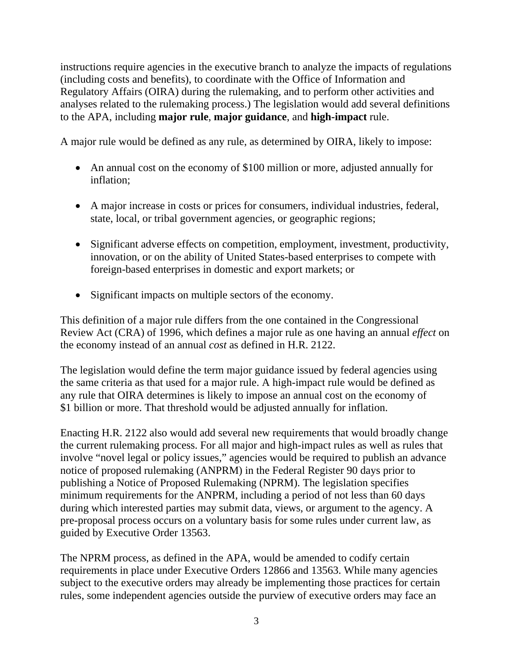instructions require agencies in the executive branch to analyze the impacts of regulations (including costs and benefits), to coordinate with the Office of Information and Regulatory Affairs (OIRA) during the rulemaking, and to perform other activities and analyses related to the rulemaking process.) The legislation would add several definitions to the APA, including **major rule**, **major guidance**, and **high-impact** rule.

A major rule would be defined as any rule, as determined by OIRA, likely to impose:

- An annual cost on the economy of \$100 million or more, adjusted annually for inflation;
- A major increase in costs or prices for consumers, individual industries, federal, state, local, or tribal government agencies, or geographic regions;
- Significant adverse effects on competition, employment, investment, productivity, innovation, or on the ability of United States-based enterprises to compete with foreign-based enterprises in domestic and export markets; or
- Significant impacts on multiple sectors of the economy.

This definition of a major rule differs from the one contained in the Congressional Review Act (CRA) of 1996, which defines a major rule as one having an annual *effect* on the economy instead of an annual *cost* as defined in H.R. 2122.

The legislation would define the term major guidance issued by federal agencies using the same criteria as that used for a major rule. A high-impact rule would be defined as any rule that OIRA determines is likely to impose an annual cost on the economy of \$1 billion or more. That threshold would be adjusted annually for inflation.

Enacting H.R. 2122 also would add several new requirements that would broadly change the current rulemaking process. For all major and high-impact rules as well as rules that involve "novel legal or policy issues," agencies would be required to publish an advance notice of proposed rulemaking (ANPRM) in the Federal Register 90 days prior to publishing a Notice of Proposed Rulemaking (NPRM). The legislation specifies minimum requirements for the ANPRM, including a period of not less than 60 days during which interested parties may submit data, views, or argument to the agency. A pre-proposal process occurs on a voluntary basis for some rules under current law, as guided by Executive Order 13563.

The NPRM process, as defined in the APA, would be amended to codify certain requirements in place under Executive Orders 12866 and 13563. While many agencies subject to the executive orders may already be implementing those practices for certain rules, some independent agencies outside the purview of executive orders may face an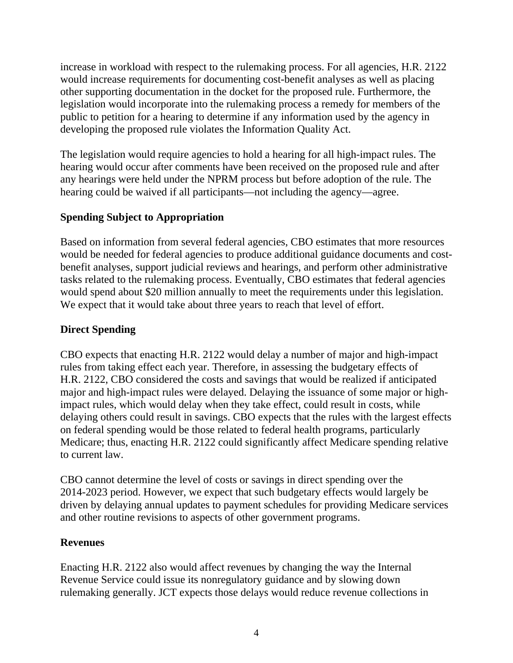increase in workload with respect to the rulemaking process. For all agencies, H.R. 2122 would increase requirements for documenting cost-benefit analyses as well as placing other supporting documentation in the docket for the proposed rule. Furthermore, the legislation would incorporate into the rulemaking process a remedy for members of the public to petition for a hearing to determine if any information used by the agency in developing the proposed rule violates the Information Quality Act.

The legislation would require agencies to hold a hearing for all high-impact rules. The hearing would occur after comments have been received on the proposed rule and after any hearings were held under the NPRM process but before adoption of the rule. The hearing could be waived if all participants—not including the agency—agree.

#### **Spending Subject to Appropriation**

Based on information from several federal agencies, CBO estimates that more resources would be needed for federal agencies to produce additional guidance documents and costbenefit analyses, support judicial reviews and hearings, and perform other administrative tasks related to the rulemaking process. Eventually, CBO estimates that federal agencies would spend about \$20 million annually to meet the requirements under this legislation. We expect that it would take about three years to reach that level of effort.

#### **Direct Spending**

CBO expects that enacting H.R. 2122 would delay a number of major and high-impact rules from taking effect each year. Therefore, in assessing the budgetary effects of H.R. 2122, CBO considered the costs and savings that would be realized if anticipated major and high-impact rules were delayed. Delaying the issuance of some major or highimpact rules, which would delay when they take effect, could result in costs, while delaying others could result in savings. CBO expects that the rules with the largest effects on federal spending would be those related to federal health programs, particularly Medicare; thus, enacting H.R. 2122 could significantly affect Medicare spending relative to current law.

CBO cannot determine the level of costs or savings in direct spending over the 2014-2023 period. However, we expect that such budgetary effects would largely be driven by delaying annual updates to payment schedules for providing Medicare services and other routine revisions to aspects of other government programs.

#### **Revenues**

Enacting H.R. 2122 also would affect revenues by changing the way the Internal Revenue Service could issue its nonregulatory guidance and by slowing down rulemaking generally. JCT expects those delays would reduce revenue collections in